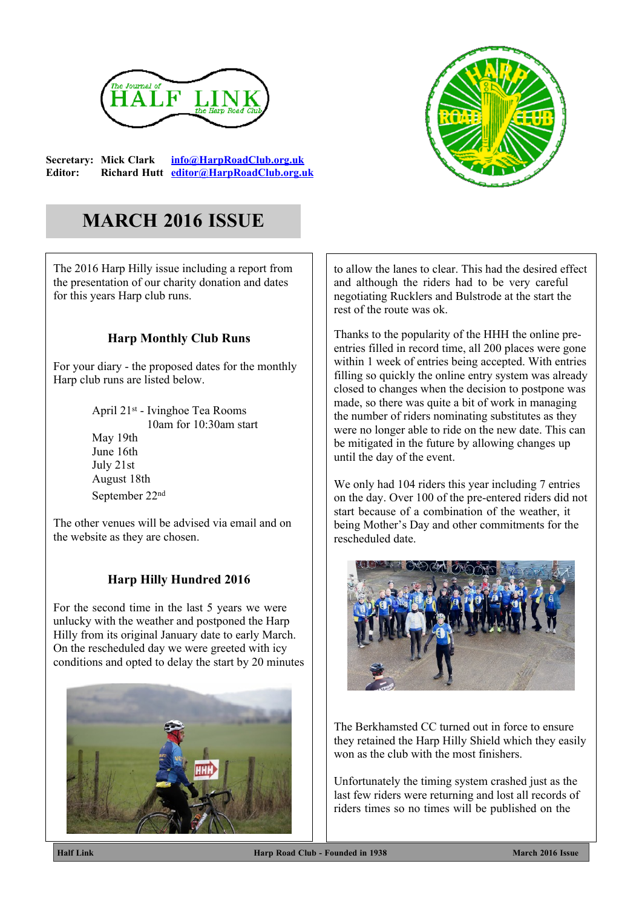

**Secretary: Mick Clark [info@HarpRoadClub.org.uk](mailto:info@HarpRoadClub.org.uk) Editor: Richard Hutt [editor@HarpRoadClub.org.uk](mailto:editor@HarpRoadClub.org.uk)**



# **MARCH 2016 ISSUE**

The 2016 Harp Hilly issue including a report from the presentation of our charity donation and dates for this years Harp club runs.

## **Harp Monthly Club Runs**

For your diary - the proposed dates for the monthly Harp club runs are listed below.

> April 21st - Ivinghoe Tea Rooms 10am for 10:30am start May 19th June 16th July 21st August 18th September 22nd

The other venues will be advised via email and on the website as they are chosen.

## **Harp Hilly Hundred 2016**

For the second time in the last 5 years we were unlucky with the weather and postponed the Harp Hilly from its original January date to early March. On the rescheduled day we were greeted with icy conditions and opted to delay the start by 20 minutes



to allow the lanes to clear. This had the desired effect and although the riders had to be very careful negotiating Rucklers and Bulstrode at the start the rest of the route was ok.

Thanks to the popularity of the HHH the online preentries filled in record time, all 200 places were gone within 1 week of entries being accepted. With entries filling so quickly the online entry system was already closed to changes when the decision to postpone was made, so there was quite a bit of work in managing the number of riders nominating substitutes as they were no longer able to ride on the new date. This can be mitigated in the future by allowing changes up until the day of the event.

We only had 104 riders this year including 7 entries on the day. Over 100 of the pre-entered riders did not start because of a combination of the weather, it being Mother's Day and other commitments for the rescheduled date.



The Berkhamsted CC turned out in force to ensure they retained the Harp Hilly Shield which they easily won as the club with the most finishers.

Unfortunately the timing system crashed just as the last few riders were returning and lost all records of riders times so no times will be published on the